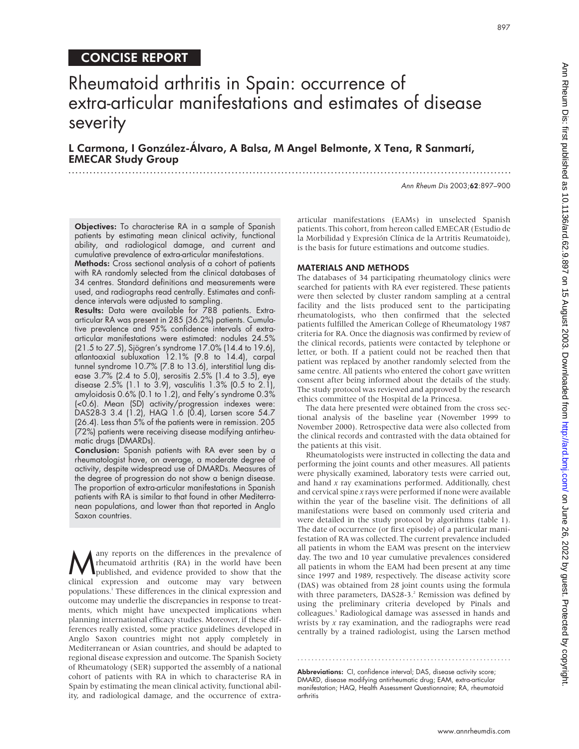# CONCISE REPORT

# Rheumatoid arthritis in Spain: occurrence of extra-articular manifestations and estimates of disease severity

L Carmona, I González-Álvaro, A Balsa, M Angel Belmonte, X Tena, R Sanmartí, EMECAR Study Group

.............................................................................................................................

Ann Rheum Dis 2003;62:897–900

Objectives: To characterise RA in a sample of Spanish patients by estimating mean clinical activity, functional ability, and radiological damage, and current and cumulative prevalence of extra-articular manifestations.

Methods: Cross sectional analysis of a cohort of patients with RA randomly selected from the clinical databases of 34 centres. Standard definitions and measurements were used, and radiographs read centrally. Estimates and confidence intervals were adjusted to sampling.

Results: Data were available for 788 patients. Extraarticular RA was present in 285 (36.2%) patients. Cumulative prevalence and 95% confidence intervals of extraarticular manifestations were estimated: nodules 24.5% (21.5 to 27.5), Sjögren's syndrome 17.0% (14.4 to 19.6), atlantoaxial subluxation 12.1% (9.8 to 14.4), carpal tunnel syndrome 10.7% (7.8 to 13.6), interstitial lung disease 3.7% (2.4 to 5.0), serositis 2.5% (1.4 to 3.5), eye disease 2.5% (1.1 to 3.9), vasculitis 1.3% (0.5 to 2.1), amyloidosis 0.6% (0.1 to 1.2), and Felty's syndrome 0.3% (<0.6). Mean (SD) activity/progression indexes were: DAS28-3 3.4 (1.2), HAQ 1.6 (0.4), Larsen score 54.7 (26.4). Less than 5% of the patients were in remission. 205 (72%) patients were receiving disease modifying antirheumatic drugs (DMARDs).

Conclusion: Spanish patients with RA ever seen by a rheumatologist have, on average, a moderate degree of activity, despite widespread use of DMARDs. Measures of the degree of progression do not show a benign disease. The proportion of extra-articular manifestations in Spanish patients with RA is similar to that found in other Mediterranean populations, and lower than that reported in Anglo Saxon countries.

**Many reports on the differences in the prevalence of**<br>published, and evidence provided to show that the<br>clinical expression and evitence may vary hetween rheumatoid arthritis (RA) in the world have been clinical expression and outcome may vary between populations.<sup>1</sup> These differences in the clinical expression and outcome may underlie the discrepancies in response to treatments, which might have unexpected implications when planning international efficacy studies. Moreover, if these differences really existed, some practice guidelines developed in Anglo Saxon countries might not apply completely in Mediterranean or Asian countries, and should be adapted to regional disease expression and outcome. The Spanish Society of Rheumatology (SER) supported the assembly of a national cohort of patients with RA in which to characterise RA in Spain by estimating the mean clinical activity, functional ability, and radiological damage, and the occurrence of extraarticular manifestations (EAMs) in unselected Spanish patients. This cohort, from hereon called EMECAR (Estudio de la Morbilidad y Expresión Clínica de la Artritis Reumatoide), is the basis for future estimations and outcome studies.

### MATERIALS AND METHODS

The databases of 34 participating rheumatology clinics were searched for patients with RA ever registered. These patients were then selected by cluster random sampling at a central facility and the lists produced sent to the participating rheumatologists, who then confirmed that the selected patients fulfilled the American College of Rheumatology 1987 criteria for RA. Once the diagnosis was confirmed by review of the clinical records, patients were contacted by telephone or letter, or both. If a patient could not be reached then that patient was replaced by another randomly selected from the same centre. All patients who entered the cohort gave written consent after being informed about the details of the study. The study protocol was reviewed and approved by the research ethics committee of the Hospital de la Princesa.

The data here presented were obtained from the cross sectional analysis of the baseline year (November 1999 to November 2000). Retrospective data were also collected from the clinical records and contrasted with the data obtained for the patients at this visit.

Rheumatologists were instructed in collecting the data and performing the joint counts and other measures. All patients were physically examined, laboratory tests were carried out, and hand *x* ray examinations performed. Additionally, chest and cervical spine *x* rays were performed if none were available within the year of the baseline visit. The definitions of all manifestations were based on commonly used criteria and were detailed in the study protocol by algorithms (table 1). The date of occurrence (or first episode) of a particular manifestation of RA was collected. The current prevalence included all patients in whom the EAM was present on the interview day. The two and 10 year cumulative prevalences considered all patients in whom the EAM had been present at any time since 1997 and 1989, respectively. The disease activity score (DAS) was obtained from 28 joint counts using the formula with three parameters, DAS28-3.<sup>2</sup> Remission was defined by using the preliminary criteria developed by Pinals and colleagues.3 Radiological damage was assessed in hands and wrists by *x* ray examination, and the radiographs were read centrally by a trained radiologist, using the Larsen method

Abbreviations: CI, confidence interval; DAS, disease activity score; DMARD, disease modifying antirheumatic drug; EAM, extra-articular manifestation; HAQ, Health Assessment Questionnaire; RA, rheumatoid arthritis

.............................................................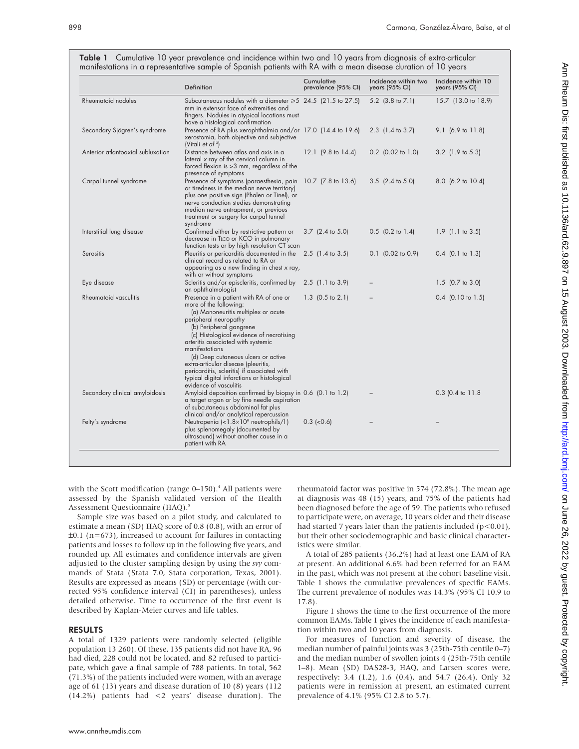Table 1 Cumulative 10 year prevalence and incidence within two and 10 years from diagnosis of extra-articular manifestations in a representative sample of Spanish patients with RA with a mean disease duration of 10 years

|                                   | <b>Definition</b>                                                                                                                                                                                                                                                                                                                                                                                                                                                      | Cumulative<br>prevalence (95% CI) | Incidence within two<br>years (95% CI) | Incidence within 10<br>years (95% CI) |
|-----------------------------------|------------------------------------------------------------------------------------------------------------------------------------------------------------------------------------------------------------------------------------------------------------------------------------------------------------------------------------------------------------------------------------------------------------------------------------------------------------------------|-----------------------------------|----------------------------------------|---------------------------------------|
| Rheumatoid nodules                | Subcutaneous nodules with a diameter $\ge 5$ 24.5 (21.5 to 27.5)<br>mm in extensor face of extremities and<br>fingers. Nodules in atypical locations must<br>have a histological confirmation                                                                                                                                                                                                                                                                          |                                   | 5.2 (3.8 to 7.1)                       | 15.7 (13.0 to 18.9)                   |
| Secondary Sjögren's syndrome      | Presence of RA plus xerophthalmia and/or 17.0 (14.4 to 19.6)<br>xerostomia, both objective and subjective<br>(Vitali et al <sup>15</sup> )                                                                                                                                                                                                                                                                                                                             |                                   | 2.3 (1.4 to 3.7)                       | 9.1 (6.9 to 11.8)                     |
| Anterior atlantoaxial subluxation | Distance between atlas and axis in a<br>lateral x ray of the cervical column in<br>forced flexion is >3 mm, regardless of the<br>presence of symptoms                                                                                                                                                                                                                                                                                                                  | 12.1 (9.8 to 14.4)                | $0.2$ (0.02 to 1.0)                    | 3.2 (1.9 to 5.3)                      |
| Carpal tunnel syndrome            | Presence of symptoms (paraesthesia, pain<br>or tiredness in the median nerve territory)<br>plus one positive sign (Phalen or Tinel), or<br>nerve conduction studies demonstrating<br>median nerve entrapment, or previous<br>treatment or surgery for carpal tunnel<br>syndrome                                                                                                                                                                                        | $10.7$ (7.8 to 13.6)              | $3.5$ (2.4 to 5.0)                     | 8.0 (6.2 to 10.4)                     |
| Interstitial lung disease         | Confirmed either by restrictive pattern or<br>decrease in Tico or KCO in pulmonary<br>function tests or by high resolution CT scan                                                                                                                                                                                                                                                                                                                                     | $3.7$ (2.4 to 5.0)                | $0.5$ (0.2 to 1.4)                     | $1.9$ (1.1 to 3.5)                    |
| Serositis                         | Pleuritis or pericarditis documented in the 2.5 (1.4 to 3.5)<br>clinical record as related to RA or<br>appearing as a new finding in chest x ray,<br>with or without symptoms                                                                                                                                                                                                                                                                                          |                                   | $0.1$ $(0.02 \text{ to } 0.9)$         | $0.4$ (0.1 to 1.3)                    |
| Eye disease                       | Scleritis and/or episcleritis, confirmed by 2.5 (1.1 to 3.9)<br>an ophthalmologist                                                                                                                                                                                                                                                                                                                                                                                     |                                   |                                        | 1.5 $(0.7 \text{ to } 3.0)$           |
| Rheumatoid vasculitis             | Presence in a patient with RA of one or<br>more of the following:<br>(a) Mononeuritis multiplex or acute<br>peripheral neuropathy<br>(b) Peripheral gangrene<br>(c) Histological evidence of necrotising<br>arteritis associated with systemic<br>manifestations<br>(d) Deep cutaneous ulcers or active<br>extra-articular disease (pleuritis,<br>pericarditis, scleritis) if associated with<br>typical digital infarctions or histological<br>evidence of vasculitis | 1.3 $(0.5 \text{ to } 2.1)$       |                                        | $0.4$ (0.10 to 1.5)                   |
| Secondary clinical amyloidosis    | Amyloid deposition confirmed by biopsy in 0.6 (0.1 to 1.2)<br>a target organ or by fine needle aspiration<br>of subcutaneous abdominal fat plus<br>clinical and/or analytical repercussion                                                                                                                                                                                                                                                                             |                                   |                                        | $0.3$ (0.4 to 11.8)                   |
| Felty's syndrome                  | Neutropenia (<1.8×10 <sup>9</sup> neutrophils/l)<br>plus splenomegaly (documented by<br>ultrasound) without another cause in a<br>patient with RA                                                                                                                                                                                                                                                                                                                      | $0.3$ ( $0.6$ )                   |                                        |                                       |

with the Scott modification (range 0-150).<sup>4</sup> All patients were assessed by the Spanish validated version of the Health Assessment Questionnaire (HAQ).<sup>5</sup>

Sample size was based on a pilot study, and calculated to estimate a mean (SD) HAQ score of 0.8 (0.8), with an error of  $\pm 0.1$  (n=673), increased to account for failures in contacting patients and losses to follow up in the following five years, and rounded up. All estimates and confidence intervals are given adjusted to the cluster sampling design by using the *svy* commands of Stata (Stata 7.0, Stata corporation, Texas, 2001). Results are expressed as means (SD) or percentage (with corrected 95% confidence interval (CI) in parentheses), unless detailed otherwise. Time to occurrence of the first event is described by Kaplan-Meier curves and life tables.

### RESULTS

A total of 1329 patients were randomly selected (eligible population 13 260). Of these, 135 patients did not have RA, 96 had died, 228 could not be located, and 82 refused to participate, which gave a final sample of 788 patients. In total, 562 (71.3%) of the patients included were women, with an average age of 61 (13) years and disease duration of 10 (8) years (112 (14.2%) patients had <2 years' disease duration). The

rheumatoid factor was positive in 574 (72.8%). The mean age at diagnosis was 48 (15) years, and 75% of the patients had been diagnosed before the age of 59. The patients who refused to participate were, on average, 10 years older and their disease had started 7 years later than the patients included ( $p$ <0.01), but their other sociodemographic and basic clinical characteristics were similar.

A total of 285 patients (36.2%) had at least one EAM of RA at present. An additional 6.6% had been referred for an EAM in the past, which was not present at the cohort baseline visit. Table 1 shows the cumulative prevalences of specific EAMs. The current prevalence of nodules was 14.3% (95% CI 10.9 to 17.8).

Figure 1 shows the time to the first occurrence of the more common EAMs. Table 1 gives the incidence of each manifestation within two and 10 years from diagnosis.

For measures of function and severity of disease, the median number of painful joints was 3 (25th-75th centile 0–7) and the median number of swollen joints 4 (25th-75th centile 1–8). Mean (SD) DAS28-3, HAQ, and Larsen scores were, respectively: 3.4 (1.2), 1.6 (0.4), and 54.7 (26.4). Only 32 patients were in remission at present, an estimated current prevalence of 4.1% (95% CI 2.8 to 5.7).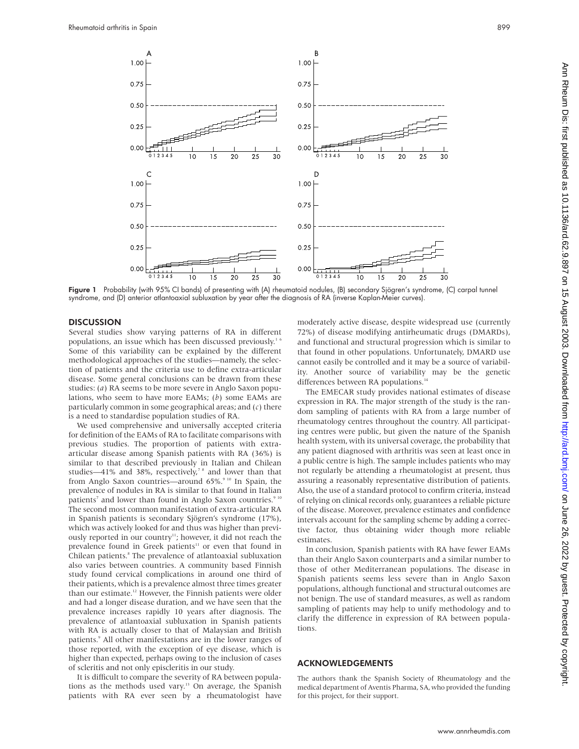

Figure 1 Probability (with 95% CI bands) of presenting with (A) rheumatoid nodules, (B) secondary Sjögren's syndrome, (C) carpal tunnel syndrome, and (D) anterior atlantoaxial subluxation by year after the diagnosis of RA (inverse Kaplan-Meier curves).

# **DISCUSSION**

Several studies show varying patterns of RA in different populations, an issue which has been discussed previously.<sup>16</sup> Some of this variability can be explained by the different methodological approaches of the studies—namely, the selection of patients and the criteria use to define extra-articular disease. Some general conclusions can be drawn from these studies: (*a*) RA seems to be more severe in Anglo Saxon populations, who seem to have more EAMs; (*b*) some EAMs are particularly common in some geographical areas; and (*c*) there is a need to standardise population studies of RA.

We used comprehensive and universally accepted criteria for definition of the EAMs of RA to facilitate comparisons with previous studies. The proportion of patients with extraarticular disease among Spanish patients with RA (36%) is similar to that described previously in Italian and Chilean studies—41% and 38%, respectively,<sup>7 8</sup> and lower than that from Anglo Saxon countries—around 65%.<sup>9 10</sup> In Spain, the prevalence of nodules in RA is similar to that found in Italian patients<sup>7</sup> and lower than found in Anglo Saxon countries.<sup>9</sup> <sup>1</sup> The second most common manifestation of extra-articular RA in Spanish patients is secondary Sjögren's syndrome (17%), which was actively looked for and thus was higher than previously reported in our country<sup>11</sup>; however, it did not reach the prevalence found in Greek patients<sup>11</sup> or even that found in Chilean patients.<sup>8</sup> The prevalence of atlantoaxial subluxation also varies between countries. A community based Finnish study found cervical complications in around one third of their patients, which is a prevalence almost three times greater than our estimate.<sup>12</sup> However, the Finnish patients were older and had a longer disease duration, and we have seen that the prevalence increases rapidly 10 years after diagnosis. The prevalence of atlantoaxial subluxation in Spanish patients with RA is actually closer to that of Malaysian and British patients.<sup>9</sup> All other manifestations are in the lower ranges of those reported, with the exception of eye disease, which is higher than expected, perhaps owing to the inclusion of cases of scleritis and not only episcleritis in our study.

It is difficult to compare the severity of RA between populations as the methods used vary.13 On average, the Spanish patients with RA ever seen by a rheumatologist have moderately active disease, despite widespread use (currently 72%) of disease modifying antirheumatic drugs (DMARDs), and functional and structural progression which is similar to that found in other populations. Unfortunately, DMARD use cannot easily be controlled and it may be a source of variability. Another source of variability may be the genetic differences between RA populations.<sup>14</sup>

The EMECAR study provides national estimates of disease expression in RA. The major strength of the study is the random sampling of patients with RA from a large number of rheumatology centres throughout the country. All participating centres were public, but given the nature of the Spanish health system, with its universal coverage, the probability that any patient diagnosed with arthritis was seen at least once in a public centre is high. The sample includes patients who may not regularly be attending a rheumatologist at present, thus assuring a reasonably representative distribution of patients. Also, the use of a standard protocol to confirm criteria, instead of relying on clinical records only, guarantees a reliable picture of the disease. Moreover, prevalence estimates and confidence intervals account for the sampling scheme by adding a corrective factor, thus obtaining wider though more reliable estimates.

In conclusion, Spanish patients with RA have fewer EAMs than their Anglo Saxon counterparts and a similar number to those of other Mediterranean populations. The disease in Spanish patients seems less severe than in Anglo Saxon populations, although functional and structural outcomes are not benign. The use of standard measures, as well as random sampling of patients may help to unify methodology and to clarify the difference in expression of RA between populations.

#### ACKNOWLEDGEMENTS

The authors thank the Spanish Society of Rheumatology and the medical department of Aventis Pharma, SA, who provided the funding for this project, for their support.